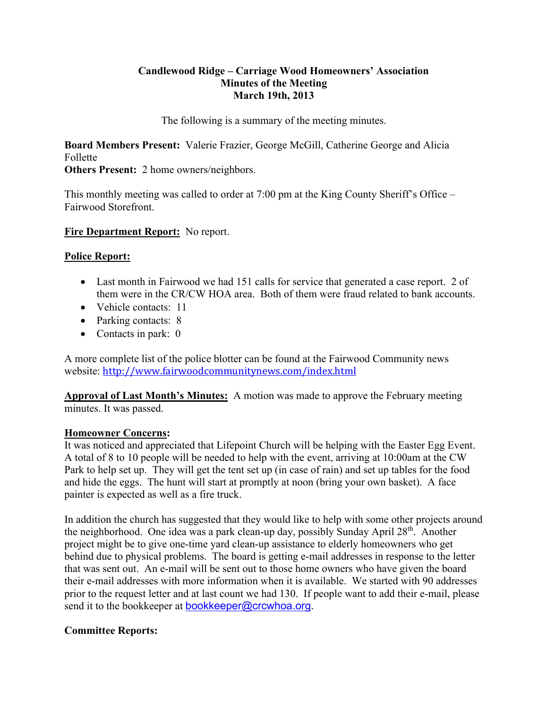### **Candlewood Ridge – Carriage Wood Homeowners' Association Minutes of the Meeting March 19th, 2013**

The following is a summary of the meeting minutes.

**Board Members Present:** Valerie Frazier, George McGill, Catherine George and Alicia Follette

**Others Present:** 2 home owners/neighbors.

This monthly meeting was called to order at 7:00 pm at the King County Sheriff's Office – Fairwood Storefront.

### **Fire Department Report:** No report.

### **Police Report:**

- Last month in Fairwood we had 151 calls for service that generated a case report. 2 of them were in the CR/CW HOA area. Both of them were fraud related to bank accounts.
- Vehicle contacts: 11
- Parking contacts: 8
- Contacts in park: 0

A more complete list of the police blotter can be found at the Fairwood Community news website: http://www.fairwoodcommunitynews.com/index.html

**Approval of Last Month's Minutes:** A motion was made to approve the February meeting minutes. It was passed.

#### **Homeowner Concerns:**

It was noticed and appreciated that Lifepoint Church will be helping with the Easter Egg Event. A total of 8 to 10 people will be needed to help with the event, arriving at 10:00am at the CW Park to help set up. They will get the tent set up (in case of rain) and set up tables for the food and hide the eggs. The hunt will start at promptly at noon (bring your own basket). A face painter is expected as well as a fire truck.

In addition the church has suggested that they would like to help with some other projects around the neighborhood. One idea was a park clean-up day, possibly Sunday April  $28<sup>th</sup>$ . Another project might be to give one-time yard clean-up assistance to elderly homeowners who get behind due to physical problems. The board is getting e-mail addresses in response to the letter that was sent out. An e-mail will be sent out to those home owners who have given the board their e-mail addresses with more information when it is available. We started with 90 addresses prior to the request letter and at last count we had 130. If people want to add their e-mail, please send it to the bookkeeper at **bookkeeper@crcwhoa.org**.

# **Committee Reports:**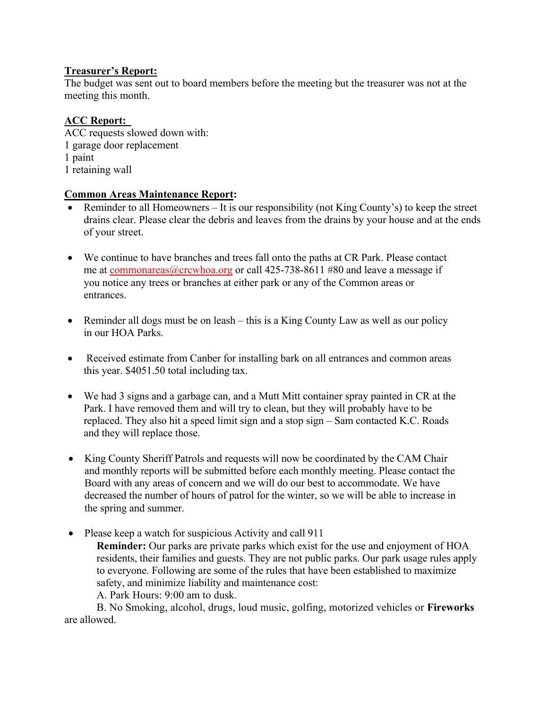# **Treasurer's Report:**

The budget was sent out to board members before the meeting but the treasurer was not at the meeting this month.

# **ACC Report:**

ACC requests slowed down with: 1 garage door replacement 1 paint 1 retaining wall

# **Common Areas Maintenance Report:**

- Reminder to all Homeowners It is our responsibility (not King County's) to keep the street drains clear. Please clear the debris and leaves from the drains by your house and at the ends of your street.
- We continue to have branches and trees fall onto the paths at CR Park. Please contact me at commonareas@crcwhoa.org or call 425-738-8611 #80 and leave a message if you notice any trees or branches at either park or any of the Common areas or entrances.
- Reminder all dogs must be on leash this is a King County Law as well as our policy in our HOA Parks.
- Received estimate from Canber for installing bark on all entrances and common areas this year. \$4051.50 total including tax.
- We had 3 signs and a garbage can, and a Mutt Mitt container spray painted in CR at the Park. I have removed them and will try to clean, but they will probably have to be replaced. They also hit a speed limit sign and a stop sign – Sam contacted K.C. Roads and they will replace those.
- King County Sheriff Patrols and requests will now be coordinated by the CAM Chair and monthly reports will be submitted before each monthly meeting. Please contact the Board with any areas of concern and we will do our best to accommodate. We have decreased the number of hours of patrol for the winter, so we will be able to increase in the spring and summer.
- Please keep a watch for suspicious Activity and call 911
	- **Reminder:** Our parks are private parks which exist for the use and enjoyment of HOA residents, their families and guests. They are not public parks. Our park usage rules apply to everyone. Following are some of the rules that have been established to maximize safety, and minimize liability and maintenance cost:

A. Park Hours: 9:00 am to dusk.

B. No Smoking, alcohol, drugs, loud music, golfing, motorized vehicles or **Fireworks**  are allowed.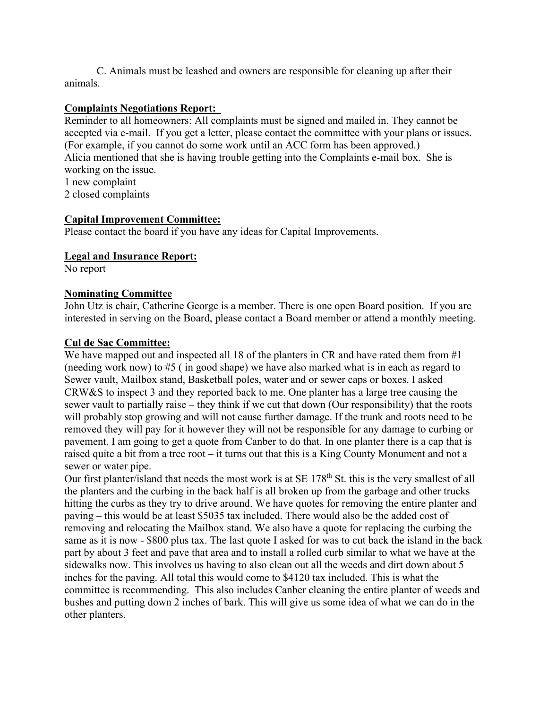C. Animals must be leashed and owners are responsible for cleaning up after their animals.

### **Complaints Negotiations Report:**

Reminder to all homeowners: All complaints must be signed and mailed in. They cannot be accepted via e-mail. If you get a letter, please contact the committee with your plans or issues. (For example, if you cannot do some work until an ACC form has been approved.) Alicia mentioned that she is having trouble getting into the Complaints e-mail box. She is working on the issue.

1 new complaint

2 closed complaints

### **Capital Improvement Committee:**

Please contact the board if you have any ideas for Capital Improvements.

#### **Legal and Insurance Report:**

No report

### **Nominating Committee**

John Utz is chair, Catherine George is a member. There is one open Board position. If you are interested in serving on the Board, please contact a Board member or attend a monthly meeting.

### **Cul de Sac Committee:**

We have mapped out and inspected all 18 of the planters in CR and have rated them from #1 (needing work now) to #5 ( in good shape) we have also marked what is in each as regard to Sewer vault, Mailbox stand, Basketball poles, water and or sewer caps or boxes. I asked CRW&S to inspect 3 and they reported back to me. One planter has a large tree causing the sewer vault to partially raise – they think if we cut that down (Our responsibility) that the roots will probably stop growing and will not cause further damage. If the trunk and roots need to be removed they will pay for it however they will not be responsible for any damage to curbing or pavement. I am going to get a quote from Canber to do that. In one planter there is a cap that is raised quite a bit from a tree root – it turns out that this is a King County Monument and not a sewer or water pipe.

Our first planter/island that needs the most work is at SE 178<sup>th</sup> St. this is the very smallest of all the planters and the curbing in the back half is all broken up from the garbage and other trucks hitting the curbs as they try to drive around. We have quotes for removing the entire planter and paving – this would be at least \$5035 tax included. There would also be the added cost of removing and relocating the Mailbox stand. We also have a quote for replacing the curbing the same as it is now - \$800 plus tax. The last quote I asked for was to cut back the island in the back part by about 3 feet and pave that area and to install a rolled curb similar to what we have at the sidewalks now. This involves us having to also clean out all the weeds and dirt down about 5 inches for the paving. All total this would come to \$4120 tax included. This is what the committee is recommending. This also includes Canber cleaning the entire planter of weeds and bushes and putting down 2 inches of bark. This will give us some idea of what we can do in the other planters.